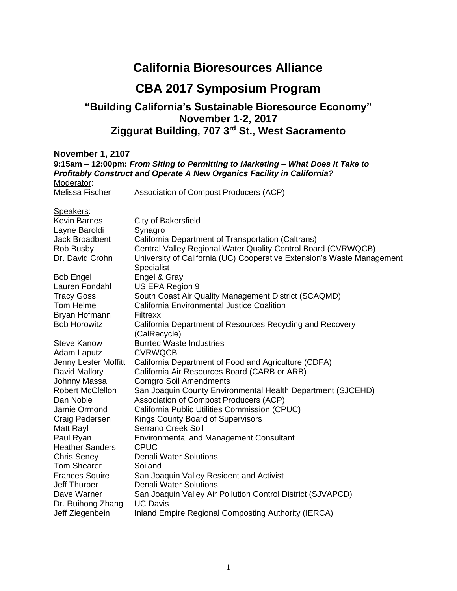#### **California Bioresources Alliance**

#### **CBA 2017 Symposium Program**

#### **"Building California's Sustainable Bioresource Economy" November 1-2, 2017 Ziggurat Building, 707 3rd St., West Sacramento**

**November 1, 2107**

| 1991 - 1991 - 1991 - 1992 - 1993 - 1994 - 1994 - 1994 - 1994 - 1994 - 1994 - 1994 - 1995 - 1997 - 1998 - 1999<br>9:15am – 12:00pm: From Siting to Permitting to Marketing – What Does It Take to<br>Profitably Construct and Operate A New Organics Facility in California?<br>Moderator: |                                                                                      |
|-------------------------------------------------------------------------------------------------------------------------------------------------------------------------------------------------------------------------------------------------------------------------------------------|--------------------------------------------------------------------------------------|
| Melissa Fischer                                                                                                                                                                                                                                                                           | Association of Compost Producers (ACP)                                               |
| Speakers:                                                                                                                                                                                                                                                                                 |                                                                                      |
| <b>Kevin Barnes</b>                                                                                                                                                                                                                                                                       | City of Bakersfield                                                                  |
| Layne Baroldi                                                                                                                                                                                                                                                                             | Synagro                                                                              |
| Jack Broadbent                                                                                                                                                                                                                                                                            | California Department of Transportation (Caltrans)                                   |
| Rob Busby                                                                                                                                                                                                                                                                                 | Central Valley Regional Water Quality Control Board (CVRWQCB)                        |
| Dr. David Crohn                                                                                                                                                                                                                                                                           | University of California (UC) Cooperative Extension's Waste Management<br>Specialist |
| <b>Bob Engel</b>                                                                                                                                                                                                                                                                          | Engel & Gray                                                                         |
| Lauren Fondahl                                                                                                                                                                                                                                                                            | US EPA Region 9                                                                      |
| <b>Tracy Goss</b>                                                                                                                                                                                                                                                                         | South Coast Air Quality Management District (SCAQMD)                                 |
| Tom Helme                                                                                                                                                                                                                                                                                 | <b>California Environmental Justice Coalition</b>                                    |
| Bryan Hofmann                                                                                                                                                                                                                                                                             | <b>Filtrexx</b>                                                                      |
| <b>Bob Horowitz</b>                                                                                                                                                                                                                                                                       | California Department of Resources Recycling and Recovery<br>(CalRecycle)            |
| <b>Steve Kanow</b>                                                                                                                                                                                                                                                                        | <b>Burrtec Waste Industries</b>                                                      |
| Adam Laputz                                                                                                                                                                                                                                                                               | <b>CVRWQCB</b>                                                                       |
| Jenny Lester Moffitt                                                                                                                                                                                                                                                                      | California Department of Food and Agriculture (CDFA)                                 |
| David Mallory                                                                                                                                                                                                                                                                             | California Air Resources Board (CARB or ARB)                                         |
| Johnny Massa                                                                                                                                                                                                                                                                              | <b>Comgro Soil Amendments</b>                                                        |
| <b>Robert McClellon</b>                                                                                                                                                                                                                                                                   | San Joaquin County Environmental Health Department (SJCEHD)                          |
| Dan Noble                                                                                                                                                                                                                                                                                 | Association of Compost Producers (ACP)                                               |
| Jamie Ormond                                                                                                                                                                                                                                                                              | California Public Utilities Commission (CPUC)                                        |
| Craig Pedersen                                                                                                                                                                                                                                                                            | Kings County Board of Supervisors                                                    |
| Matt Rayl                                                                                                                                                                                                                                                                                 | <b>Serrano Creek Soil</b>                                                            |
| Paul Ryan                                                                                                                                                                                                                                                                                 | <b>Environmental and Management Consultant</b>                                       |
| <b>Heather Sanders</b>                                                                                                                                                                                                                                                                    | <b>CPUC</b><br><b>Denali Water Solutions</b>                                         |
| <b>Chris Seney</b><br><b>Tom Shearer</b>                                                                                                                                                                                                                                                  | Soiland                                                                              |
| <b>Frances Squire</b>                                                                                                                                                                                                                                                                     | San Joaquin Valley Resident and Activist                                             |
| <b>Jeff Thurber</b>                                                                                                                                                                                                                                                                       | <b>Denali Water Solutions</b>                                                        |
| Dave Warner                                                                                                                                                                                                                                                                               | San Joaquin Valley Air Pollution Control District (SJVAPCD)                          |
| Dr. Ruihong Zhang                                                                                                                                                                                                                                                                         | <b>UC Davis</b>                                                                      |
| Jeff Ziegenbein                                                                                                                                                                                                                                                                           | Inland Empire Regional Composting Authority (IERCA)                                  |
|                                                                                                                                                                                                                                                                                           |                                                                                      |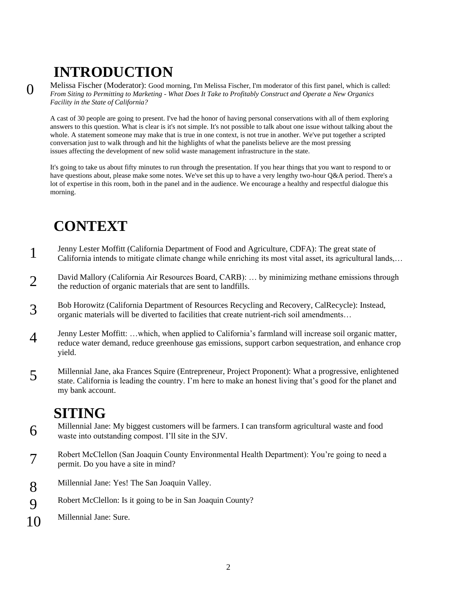# **INTRODUCTION**

0

Melissa Fischer (Moderator): Good morning, I'm Melissa Fischer, I'm moderator of this first panel, which is called: *From Siting to Permitting to Marketing - What Does It Take to Profitably Construct and Operate a New Organics Facility in the State of California?*

A cast of 30 people are going to present. I've had the honor of having personal conservations with all of them exploring answers to this question. What is clear is it's not simple. It's not possible to talk about one issue without talking about the whole. A statement someone may make that is true in one context, is not true in another. We've put together a scripted conversation just to walk through and hit the highlights of what the panelists believe are the most pressing issues affecting the development of new solid waste management infrastructure in the state.

It's going to take us about fifty minutes to run through the presentation. If you hear things that you want to respond to or have questions about, please make some notes. We've set this up to have a very lengthy two-hour Q&A period. There's a lot of expertise in this room, both in the panel and in the audience. We encourage a healthy and respectful dialogue this morning.

## **CONTEXT**

- 1 Jenny Lester Moffitt (California Department of Food and Agriculture, CDFA): The great state of California intends to mitigate climate change while enriching its most vital asset, its agricultural lands,…
- 2 David Mallory (California Air Resources Board, CARB): … by minimizing methane emissions through the reduction of organic materials that are sent to landfills.
- 3 Bob Horowitz (California Department of Resources Recycling and Recovery, CalRecycle): Instead, organic materials will be diverted to facilities that create nutrient-rich soil amendments…
- 4 Jenny Lester Moffitt: …which, when applied to California's farmland will increase soil organic matter, reduce water demand, reduce greenhouse gas emissions, support carbon sequestration, and enhance crop yield.
- 5 Millennial Jane, aka Frances Squire (Entrepreneur, Project Proponent): What a progressive, enlightened state. California is leading the country. I'm here to make an honest living that's good for the planet and my bank account.

## **SITING**

- 6 Millennial Jane: My biggest customers will be farmers. I can transform agricultural waste and food waste into outstanding compost. I'll site in the SJV.
- 7 Robert McClellon (San Joaquin County Environmental Health Department): You're going to need a permit. Do you have a site in mind?
- 8 Millennial Jane: Yes! The San Joaquin Valley.
- 9 Robert McClellon: Is it going to be in San Joaquin County?
- 10 Millennial Jane: Sure.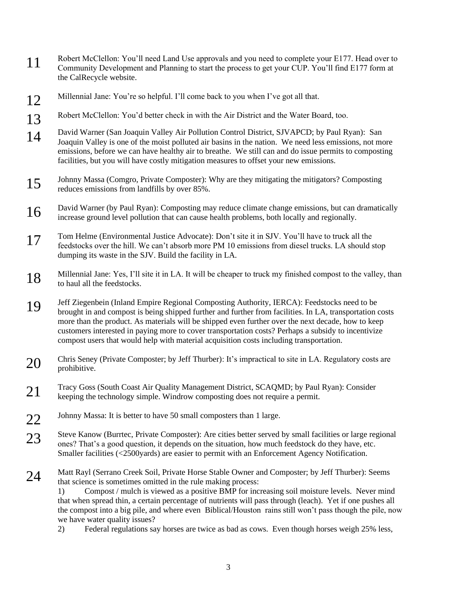- 1 Robert McClellon: You'll need Land Use approvals and you need to complete your E177. Head over to<br>Compute Davis and Plancing to the the process to change CUD You'll find E177 form to Community Development and Planning to start the process to get your CUP. You'll find E177 form at the CalRecycle website.
- 12 Millennial Jane: You're so helpful. I'll come back to you when I've got all that.
- 13 Robert McClellon: You'd better check in with the Air District and the Water Board, too.
- 14 David Warner (San Joaquin Valley Air Pollution Control District, SJVAPCD; by Paul Ryan): San Joaquin Valley is one of the moist polluted air basins in the nation. We need less emissions, not more emissions, before we can have healthy air to breathe. We still can and do issue permits to composting facilities, but you will have costly mitigation measures to offset your new emissions.
- 15 Johnny Massa (Comgro, Private Composter): Why are they mitigating the mitigators? Composting reduces emissions from landfills by over 85%.
- 16 David Warner (by Paul Ryan): Composting may reduce climate change emissions, but can dramatically increases ground lovel nellution that can gause health mehlome, both locally and maximally increase ground level pollution that can cause health problems, both locally and regionally.
- 17 Tom Helme (Environmental Justice Advocate): Don't site it in SJV. You'll have to truck all the feedstocks over the hill. We can't absorb more PM 10 emissions from diesel trucks. LA should stop dumping its waste in the SJV. Build the facility in LA.
- 18 Millennial Jane: Yes, I'll site it in LA. It will be cheaper to truck my finished compost to the valley, than to haul all the feedstocks.
- 19 Jeff Ziegenbein (Inland Empire Regional Composting Authority, IERCA): Feedstocks need to be<br>heavenly in and compost is being shipped further and further from feellities. In LA, transportation brought in and compost is being shipped further and further from facilities. In LA, transportation costs more than the product. As materials will be shipped even further over the next decade, how to keep customers interested in paying more to cover transportation costs? Perhaps a subsidy to incentivize compost users that would help with material acquisition costs including transportation.
- 20 Chris Seney (Private Composter; by Jeff Thurber): It's impractical to site in LA. Regulatory costs are prohibitive.
- 21 Tracy Goss (South Coast Air Quality Management District, SCAQMD; by Paul Ryan): Consider keeping the technology simple. Windrow composting does not require a permit.
- 22 Johnny Massa: It is better to have 50 small composters than 1 large.
- 23 Steve Kanow (Burrtec, Private Composter): Are cities better served by small facilities or large regional and the strategy of the strategy of the strategy of the strategy of the strategy of the strategy of the strategy o ones? That's a good question, it depends on the situation, how much feedstock do they have, etc. Smaller facilities (<2500yards) are easier to permit with an Enforcement Agency Notification.
- 24 Matt Rayl (Serrano Creek Soil, Private Horse Stable Owner and Composter; by Jeff Thurber): Seems that science is sometimes omitted in the rule making process:

1) Compost / mulch is viewed as a positive BMP for increasing soil moisture levels. Never mind that when spread thin, a certain percentage of nutrients will pass through (leach). Yet if one pushes all the compost into a big pile, and where even Biblical/Houston rains still won't pass though the pile, now we have water quality issues?

2) Federal regulations say horses are twice as bad as cows. Even though horses weigh 25% less,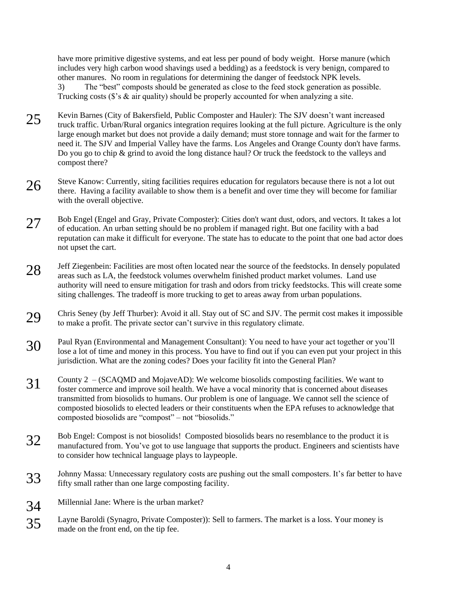have more primitive digestive systems, and eat less per pound of body weight. Horse manure (which includes very high carbon wood shavings used a bedding) as a feedstock is very benign, compared to other manures. No room in regulations for determining the danger of feedstock NPK levels. 3) The "best" composts should be generated as close to the feed stock generation as possible. Trucking costs ( $\hat{s}$ 's  $\&$  air quality) should be properly accounted for when analyzing a site.

- 25 Kevin Barnes (City of Bakersfield, Public Composter and Hauler): The SJV doesn't want increased<br>the full nighting Agriculture is the truck traffic. Urban/Rural organics integration requires looking at the full picture. Agriculture is the only large enough market but does not provide a daily demand; must store tonnage and wait for the farmer to need it. The SJV and Imperial Valley have the farms. Los Angeles and Orange County don't have farms. Do you go to chip & grind to avoid the long distance haul? Or truck the feedstock to the valleys and compost there?
- $26$  Steve Kanow: Currently, siting facilities requires education for regulators because there is not a lot out there. Having a facility available to show them is a benefit and over time they will become for familiar with the overall objective.
- 27 Bob Engel (Engel and Gray, Private Composter): Cities don't want dust, odors, and vectors. It takes a lot of education. An urban setting should be no problem if managed right. But one facility with a bad reputation can make it difficult for everyone. The state has to educate to the point that one bad actor does not upset the cart.
- 28 Jeff Ziegenbein: Facilities are most often located near the source of the feedstocks. In densely populated near the source of the feedstocks of the feedstocks of the feedstocks of the feedstocks of the feedstocks of the areas such as LA, the feedstock volumes overwhelm finished product market volumes. Land use authority will need to ensure mitigation for trash and odors from tricky feedstocks. This will create some siting challenges. The tradeoff is more trucking to get to areas away from urban populations.
- 29 Chris Seney (by Jeff Thurber): Avoid it all. Stay out of SC and SJV. The permit cost makes it impossible<br>to make a market. The printe sector sould suming in this members alimete to make a profit. The private sector can't survive in this regulatory climate.
- 30 Paul Ryan (Environmental and Management Consultant): You need to have your act together or you'll lose a lot of time and money in this process. You have to find out if you can even put your project in this jurisdiction. What are the zoning codes? Does your facility fit into the General Plan?
- $31$  County  $2 (SCAQMD)$  and MojaveAD): We welcome biosolids composting facilities. We want to factor commerce and improve soil health. We have a yogal minority that is concerned showt discusses foster commerce and improve soil health. We have a vocal minority that is concerned about diseases transmitted from biosolids to humans. Our problem is one of language. We cannot sell the science of composted biosolids to elected leaders or their constituents when the EPA refuses to acknowledge that composted biosolids are "compost" – not "biosolids."
- 32 Bob Engel: Compost is not biosolids! Composted biosolids bears no resemblance to the product it is manufactured from. You've got to use language that supports the product. Engineers and scientists have to consider how technical language plays to laypeople.
- 33 Johnny Massa: Unnecessary regulatory costs are pushing out the small composters. It's far better to have fifty small rather than one large composting facility.
- 34 Millennial Jane: Where is the urban market?
- 35 Layne Baroldi (Synagro, Private Composter)): Sell to farmers. The market is a loss. Your money is mode on the front and on the tin fee made on the front end, on the tip fee.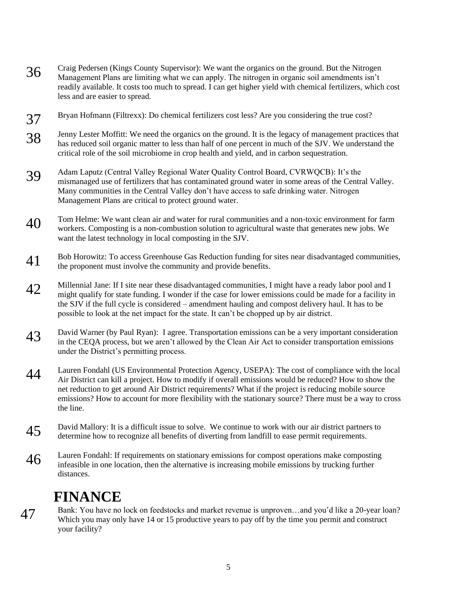- 36 Craig Pedersen (Kings County Supervisor): We want the organics on the ground. But the Nitrogen Management Plans are limiting what we can apply. The pitrogen in organic soil emergency in the Super Management Plans are limiting what we can apply. The nitrogen in organic soil amendments isn't readily available. It costs too much to spread. I can get higher yield with chemical fertilizers, which cost less and are easier to spread.
- 37 Bryan Hofmann (Filtrexx): Do chemical fertilizers cost less? Are you considering the true cost?
- 38 Jenny Lester Moffitt: We need the organics on the ground. It is the legacy of management practices that<br>has reduced soil examic metter to less than helf of one persont in much of the SIV. We understand the has reduced soil organic matter to less than half of one percent in much of the SJV. We understand the critical role of the soil microbiome in crop health and yield, and in carbon sequestration.
- 39 Adam Laputz (Central Valley Regional Water Quality Control Board, CVRWQCB): It's the mismanaged use of fertilizers that has contaminated ground water in some areas of the Central Valley. Many communities in the Central Valley don't have access to safe drinking water. Nitrogen Management Plans are critical to protect ground water.
- 40 Tom Helme: We want clean air and water for rural communities and a non-toxic environment for farm workers. Composting is a non-combustion solution to agricultural waste that generates new jobs. We want the latest technology in local composting in the SJV.
- 41 Bob Horowitz: To access Greenhouse Gas Reduction funding for sites near disadvantaged communities, the proponent must involve the community and provide benefits.
- 42 Millennial Jane: If I site near these disadvantaged communities, I might have a ready labor pool and I might qualify for state funding. I wonder if the case for lower emissions could be made for a facility in the SJV if the full cycle is considered – amendment hauling and compost delivery haul. It has to be possible to look at the net impact for the state. It can't be chopped up by air district.
- 43 David Warner (by Paul Ryan): I agree. Transportation emissions can be a very important consideration in the CEQA process, but we aren't allowed by the Clean Air Act to consider transportation emissions under the District's permitting process.
- 44 Lauren Fondahl (US Environmental Protection Agency, USEPA): The cost of compliance with the local Air District can kill a project. How to modify if overall emissions would be reduced? How to show the net reduction to get around Air District requirements? What if the project is reducing mobile source emissions? How to account for more flexibility with the stationary source? There must be a way to cross the line.
- 45 David Mallory: It is a difficult issue to solve. We continue to work with our air district partners to the continue to work with our air district partners to determine how to recognize all benefits of diverting from landfill to ease permit requirements.
- 46 Lauren Fondahl: If requirements on stationary emissions for compost operations make composting infeasible in one location, then the alternative is increasing mobile emissions by trucking further distances.

### **FINANCE**

47 Bank: You have no lock on feedstocks and market revenue is unproven...and you'd like a 20-year loan? Which you may only have 14 or 15 productive years to pay off by the time you permit and construct your facility?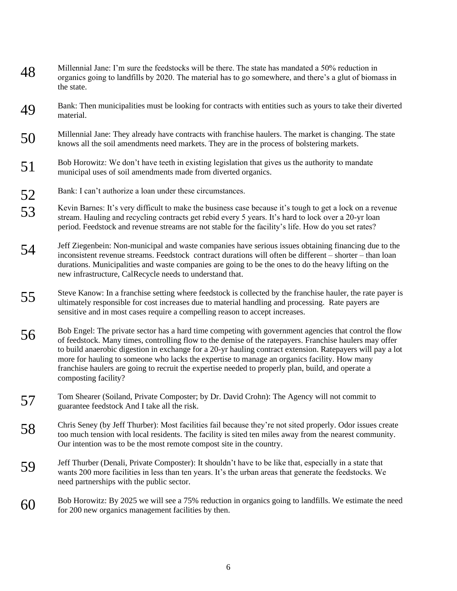- 48 Millennial Jane: I'm sure the feedstocks will be there. The state has mandated a 50% reduction in organics going to landfills by 2020. The material has to go somewhere, and there's a glut of biomass in the state.
- 49 Bank: Then municipalities must be looking for contracts with entities such as yours to take their diverted material.
- 50 Millennial Jane: They already have contracts with franchise haulers. The market is changing. The state knows all the soil amendments need markets. They are in the process of bolstering markets.
- 51 Bob Horowitz: We don't have teeth in existing legislation that gives us the authority to mandate municipal uses of soil amendments made from diverted organics.
- 52 Bank: I can't authorize a loan under these circumstances.
- 53 Kevin Barnes: It's very difficult to make the business case because it's tough to get a lock on a revenue<br>tream Hauling and requeling contracts get rabid avery 5 years. It's hard to lock over a 20 yr loan stream. Hauling and recycling contracts get rebid every 5 years. It's hard to lock over a 20-yr loan period. Feedstock and revenue streams are not stable for the facility's life. How do you set rates?
- 54 Jeff Ziegenbein: Non-municipal and waste companies have serious issues obtaining financing due to the inconsistent revenue streams. Feedstock contract durations will often be different shorter than loan durations. Municipalities and waste companies are going to be the ones to do the heavy lifting on the new infrastructure, CalRecycle needs to understand that.
- 55 Steve Kanow: In a franchise setting where feedstock is collected by the franchise hauler, the rate payer is<br>ultimately receps with for set in grosses due to material hardling and presenting. Beta payers are ultimately responsible for cost increases due to material handling and processing. Rate payers are sensitive and in most cases require a compelling reason to accept increases.
- $56$  Bob Engel: The private sector has a hard time competing with government agencies that control the flow of feedstock. Many times, controlling flow to the demise of the ratepayers. Franchise haulers may offer to build anaerobic digestion in exchange for a 20-yr hauling contract extension. Ratepayers will pay a lot more for hauling to someone who lacks the expertise to manage an organics facility. How many franchise haulers are going to recruit the expertise needed to properly plan, build, and operate a composting facility?
- 57 Tom Shearer (Soiland, Private Composter; by Dr. David Crohn): The Agency will not commit to guarantee feedstock And I take all the risk.
- 58 Chris Seney (by Jeff Thurber): Most facilities fail because they're not sited properly. Odor issues create too much tension with local residents. The facility is sited ten miles away from the nearest community. Our intention was to be the most remote compost site in the country.
- 59 Jeff Thurber (Denali, Private Composter): It shouldn't have to be like that, especially in a state that<br>we want 200 means facilities in last than ten years. It's the whome gross that presents the facilitation We wants 200 more facilities in less than ten years. It's the urban areas that generate the feedstocks. We need partnerships with the public sector.
- 60 Bob Horowitz: By 2025 we will see a 75% reduction in organics going to landfills. We estimate the need for 200 new organics management facilities by then.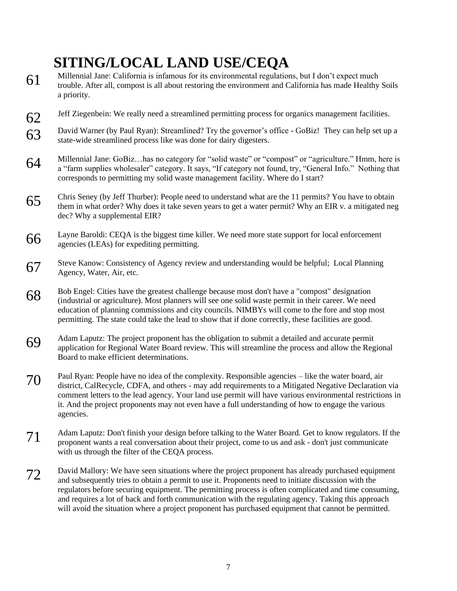# **SITING/LOCAL LAND USE/CEQA**

- 61 Millennial Jane: California is infamous for its environmental regulations, but I don't expect much trouble. After all, compost is all about restoring the environment and California has made Healthy Soils a priority.
- 62 Jeff Ziegenbein: We really need a streamlined permitting process for organics management facilities.
- 63 David Warner (by Paul Ryan): Streamlined? Try the governor's office GoBiz! They can help set up a<br>state wide streamlined process like was done for dairy digesters state-wide streamlined process like was done for dairy digesters.
- 64 Millennial Jane: GoBiz...has no category for "solid waste" or "compost" or "agriculture." Hmm, here is a "farm supplies wholesaler" category. It says, "If category not found, try, "General Info." Nothing that corresponds to permitting my solid waste management facility. Where do I start?
- $65$  Chris Seney (by Jeff Thurber): People need to understand what are the 11 permits? You have to obtain the number of a large state of the second particle of the second particle of the second particle of the second part them in what order? Why does it take seven years to get a water permit? Why an EIR v. a mitigated neg dec? Why a supplemental EIR?
- $66$  Layne Baroldi: CEQA is the biggest time killer. We need more state support for local enforcement agencies (LEAs) for expediting permitting.
- 67 Steve Kanow: Consistency of Agency review and understanding would be helpful; Local Planning Agency, Water, Air, etc.
- $68$  Bob Engel: Cities have the greatest challenge because most don't have a "compost" designation<br>(in dustrial an aggiuntum). Most glamana will assess a solid west aggregation thain aggregation (industrial or agriculture). Most planners will see one solid waste permit in their career. We need education of planning commissions and city councils. NIMBYs will come to the fore and stop most permitting. The state could take the lead to show that if done correctly, these facilities are good.
- 69 Adam Laputz: The project proponent has the obligation to submit a detailed and accurate permit<br>constitution for Booise Water Boord priors: This will streamline the process and allow the Boo application for Regional Water Board review. This will streamline the process and allow the Regional Board to make efficient determinations.
- 70 Paul Ryan: People have no idea of the complexity. Responsible agencies like the water board, air district, CalRecycle, CDFA, and others - may add requirements to a Mitigated Negative Declaration via comment letters to the lead agency. Your land use permit will have various environmental restrictions in it. And the project proponents may not even have a full understanding of how to engage the various agencies.
- 71 Adam Laputz: Don't finish your design before talking to the Water Board. Get to know regulators. If the reserves were a real conversation shout their grains to you and sale, doubt just communicate proponent wants a real conversation about their project, come to us and ask - don't just communicate with us through the filter of the CEQA process.
- 72 David Mallory: We have seen situations where the project proponent has already purchased equipment and subsequently tries to obtain a permit to use it. Proponents need to initiate discussion with the regulators before securing equipment. The permitting process is often complicated and time consuming, and requires a lot of back and forth communication with the regulating agency. Taking this approach will avoid the situation where a project proponent has purchased equipment that cannot be permitted.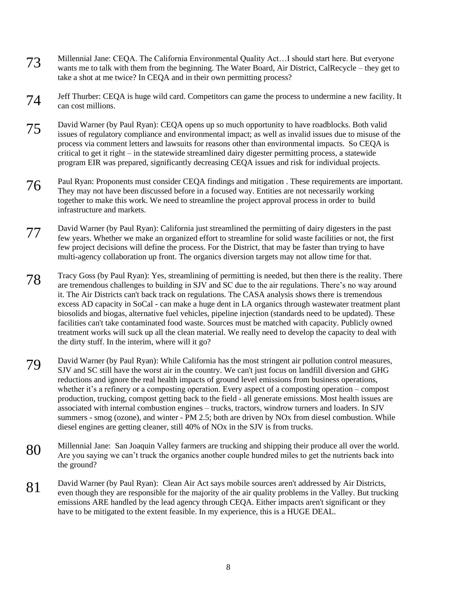- 73 Millennial Jane: CEQA. The California Environmental Quality Act…I should start here. But everyone<br>wents me to talk with them from the beginning. The Water Board, Air District, GelBeaugle, they get to wants me to talk with them from the beginning. The Water Board, Air District, CalRecycle – they get to take a shot at me twice? In CEQA and in their own permitting process?
- 74 Jeff Thurber: CEQA is huge wild card. Competitors can game the process to undermine a new facility. It can cost millions.
- 75 David Warner (by Paul Ryan): CEQA opens up so much opportunity to have roadblocks. Both valid issues of regulatory compliance and environmental impact; as well as invalid issues due to misuse of the process via comment letters and lawsuits for reasons other than environmental impacts. So CEQA is critical to get it right – in the statewide streamlined dairy digester permitting process, a statewide program EIR was prepared, significantly decreasing CEQA issues and risk for individual projects.
- 76 Paul Ryan: Proponents must consider CEQA findings and mitigation . These requirements are important. They may not have been discussed before in a focused way. Entities are not necessarily working together to make this work. We need to streamline the project approval process in order to build infrastructure and markets.
- 77 David Warner (by Paul Ryan): California just streamlined the permitting of dairy digesters in the past few years. Whether we make an organized effort to streamline for solid waste facilities or not, the first few project decisions will define the process. For the District, that may be faster than trying to have multi-agency collaboration up front. The organics diversion targets may not allow time for that.
- 78 Tracy Goss (by Paul Ryan): Yes, streamlining of permitting is needed, but then there is the reality. There are tremendous challenges to building in SJV and SC due to the air regulations. There's no way around it. The Air Districts can't back track on regulations. The CASA analysis shows there is tremendous excess AD capacity in SoCal - can make a huge dent in LA organics through wastewater treatment plant biosolids and biogas, alternative fuel vehicles, pipeline injection (standards need to be updated). These facilities can't take contaminated food waste. Sources must be matched with capacity. Publicly owned treatment works will suck up all the clean material. We really need to develop the capacity to deal with the dirty stuff. In the interim, where will it go?
- 79 David Warner (by Paul Ryan): While California has the most stringent air pollution control measures, SJV and SC still have the worst air in the country. We can't just focus on landfill diversion and GHG reductions and ignore the real health impacts of ground level emissions from business operations, whether it's a refinery or a composting operation. Every aspect of a composting operation – compost production, trucking, compost getting back to the field - all generate emissions. Most health issues are associated with internal combustion engines – trucks, tractors, windrow turners and loaders. In SJV summers - smog (ozone), and winter - PM 2.5; both are driven by NOx from diesel combustion. While diesel engines are getting cleaner, still 40% of NOx in the SJV is from trucks.
- 80 Millennial Jane: San Joaquin Valley farmers are trucking and shipping their produce all over the world.<br>Are you can include the organize another counter hundred miles to get the nutrients healt into. Are you saying we can't truck the organics another couple hundred miles to get the nutrients back into the ground?
- 81 David Warner (by Paul Ryan): Clean Air Act says mobile sources aren't addressed by Air Districts, even though they are responsible for the majority of the air quality problems in the Valley. But trucking emissions ARE handled by the lead agency through CEQA. Either impacts aren't significant or they have to be mitigated to the extent feasible. In my experience, this is a HUGE DEAL.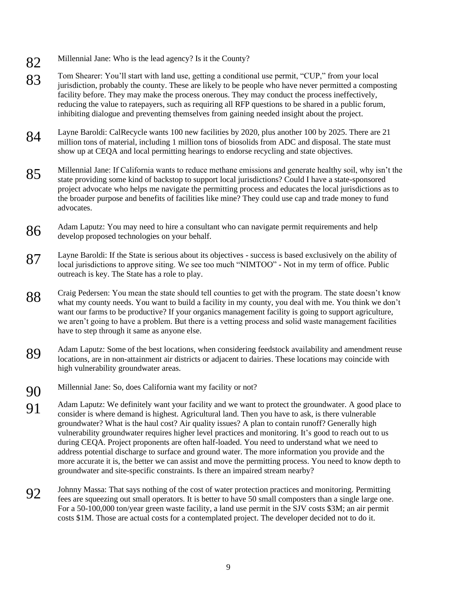- 82 Millennial Jane: Who is the lead agency? Is it the County?
- 83 Tom Shearer: You'll start with land use, getting a conditional use permit, "CUP," from your local<br>initialization probably the county. These are likely to be people who have peyer permitted a compo jurisdiction, probably the county. These are likely to be people who have never permitted a composting facility before. They may make the process onerous. They may conduct the process ineffectively, reducing the value to ratepayers, such as requiring all RFP questions to be shared in a public forum, inhibiting dialogue and preventing themselves from gaining needed insight about the project.
- 84 Layne Baroldi: CalRecycle wants 100 new facilities by 2020, plus another 100 by 2025. There are 21 million tons of material, including 1 million tons of biosolids from ADC and disposal. The state must show up at CEQA and local permitting hearings to endorse recycling and state objectives.
- 85 Millennial Jane: If California wants to reduce methane emissions and generate healthy soil, why isn't the state providing some kind of backstop to support local jurisdictions? Could I have a state-sponsored project advocate who helps me navigate the permitting process and educates the local jurisdictions as to the broader purpose and benefits of facilities like mine? They could use cap and trade money to fund advocates.
- 86 Adam Laputz: You may need to hire a consultant who can navigate permit requirements and help<br>develop proposed toolpologies on your behelf develop proposed technologies on your behalf.
- 87 Layne Baroldi: If the State is serious about its objectives success is based exclusively on the ability of local invisibility of local invisibility to approve siting We see too much "NUMTOO". Not in my term of office local jurisdictions to approve siting. We see too much "NIMTOO" - Not in my term of office. Public outreach is key. The State has a role to play.
- 88 Craig Pedersen: You mean the state should tell counties to get with the program. The state doesn't know what my county needs. You want to build a facility in my county, you deal with me. You think we don't want our farms to be productive? If your organics management facility is going to support agriculture, we aren't going to have a problem. But there is a vetting process and solid waste management facilities have to step through it same as anyone else.
- 89 Adam Laputz: Some of the best locations, when considering feedstock availability and amendment reuse locations, are in non-attainment air districts or adjacent to dairies. These locations may coincide with high vulnerability groundwater areas.
- 90 Millennial Jane: So, does California want my facility or not?
- 91 Adam Laputz: We definitely want your facility and we want to protect the groundwater. A good place to consider is where demand is highest. A gricultural land. Then you have to sek, is there yultare ble consider is where demand is highest. Agricultural land. Then you have to ask, is there vulnerable groundwater? What is the haul cost? Air quality issues? A plan to contain runoff? Generally high vulnerability groundwater requires higher level practices and monitoring. It's good to reach out to us during CEQA. Project proponents are often half-loaded. You need to understand what we need to address potential discharge to surface and ground water. The more information you provide and the more accurate it is, the better we can assist and move the permitting process. You need to know depth to groundwater and site-specific constraints. Is there an impaired stream nearby?
- 92 Johnny Massa: That says nothing of the cost of water protection practices and monitoring. Permitting for a single large and support of the cost of water to have 50 small composters than a single large and fees are squeezing out small operators. It is better to have 50 small composters than a single large one. For a 50-100,000 ton/year green waste facility, a land use permit in the SJV costs \$3M; an air permit costs \$1M. Those are actual costs for a contemplated project. The developer decided not to do it.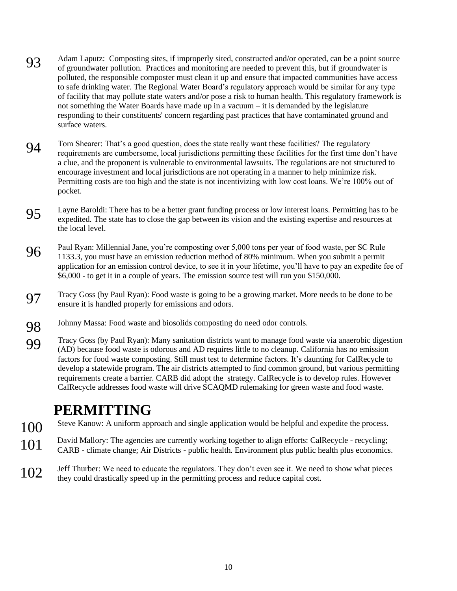- 93 Adam Laputz: Composting sites, if improperly sited, constructed and/or operated, can be a point source of groundwater pollution. Practices and monitoring are needed to prevent this, but if groundwater is polluted, the responsible composter must clean it up and ensure that impacted communities have access to safe drinking water. The Regional Water Board's regulatory approach would be similar for any type of facility that may pollute state waters and/or pose a risk to human health. This regulatory framework is not something the Water Boards have made up in a vacuum – it is demanded by the legislature responding to their constituents' concern regarding past practices that have contaminated ground and surface waters.
- 94 Tom Shearer: That's a good question, does the state really want these facilities? The regulatory requirements are cumbersome, local jurisdictions permitting these facilities for the first time don't have a clue, and the proponent is vulnerable to environmental lawsuits. The regulations are not structured to encourage investment and local jurisdictions are not operating in a manner to help minimize risk. Permitting costs are too high and the state is not incentivizing with low cost loans. We're 100% out of pocket.
- 95 Layne Baroldi: There has to be a better grant funding process or low interest loans. Permitting has to be arguedited. The state has to also the sen between its vision and the evision arguedited and recovered at expedited. The state has to close the gap between its vision and the existing expertise and resources at the local level.
- 96 Paul Ryan: Millennial Jane, you're composting over 5,000 tons per year of food waste, per SC Rule 1133.3, you must have an emission reduction method of 80% minimum. When you submit a permit application for an emission control device, to see it in your lifetime, you'll have to pay an expedite fee of \$6,000 - to get it in a couple of years. The emission source test will run you \$150,000.
- 97 Tracy Goss (by Paul Ryan): Food waste is going to be a growing market. More needs to be done to be conversity is hardled generally for emissions and adapted ensure it is handled properly for emissions and odors.
- 98 Johnny Massa: Food waste and biosolids composting do need odor controls.
- 99 Tracy Goss (by Paul Ryan): Many sanitation districts want to manage food waste via anaerobic digestion (AD) because food waste is adoptive and AD position little to no algorithm Colifornia has no amission (AD) because food waste is odorous and AD requires little to no cleanup. California has no emission factors for food waste composting. Still must test to determine factors. It's daunting for CalRecycle to develop a statewide program. The air districts attempted to find common ground, but various permitting requirements create a barrier. CARB did adopt the strategy. CalRecycle is to develop rules. However CalRecycle addresses food waste will drive SCAQMD rulemaking for green waste and food waste.

## **PERMITTING**

- 100 Steve Kanow: A uniform approach and single application would be helpful and expedite the process.
- 101 David Mallory: The agencies are currently working together to align efforts: CalRecycle recycling;<br>CARR slimate alongs: Air Districts, while health Environment also sublis health also accommise CARB - climate change; Air Districts - public health. Environment plus public health plus economics.
- 102 Jeff Thurber: We need to educate the regulators. They don't even see it. We need to show what pieces they could drastically speed up in the permitting process and reduce capital cost.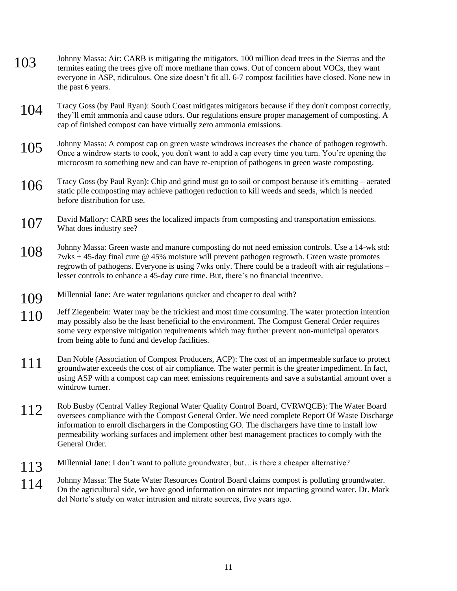- 103 Johnny Massa: Air: CARB is mitigating the mitigators. 100 million dead trees in the Sierras and the terms of the trees in the Sierras and the terms of the terms of the terms and the same Ortoform and the VOCs there wer termites eating the trees give off more methane than cows. Out of concern about VOCs, they want everyone in ASP, ridiculous. One size doesn't fit all. 6-7 compost facilities have closed. None new in the past 6 years.
	- 104 Tracy Goss (by Paul Ryan): South Coast mitigates mitigators because if they don't compost correctly, they'll emit ammonia and cause odors. Our regulations ensure proper management of composting. A cap of finished compost can have virtually zero ammonia emissions.
	- 105 Johnny Massa: A compost cap on green waste windrows increases the chance of pathogen regrowth.<br>Once a windrow starts to cook, you don't want to add a cap every time you turn. You're opening the microcosm to something new and can have re-eruption of pathogens in green waste composting.
	- 106 Tracy Goss (by Paul Ryan): Chip and grind must go to soil or compost because it's emitting aerated static pile composting may achieve pathogen reduction to kill weeds and seeds, which is needed before distribution for use.
	- 107 David Mallory: CARB sees the localized impacts from composting and transportation emissions. What does industry see?
	- 108 Johnny Massa: Green waste and manure composting do not need emission controls. Use a 14-wk std: 7wks + 45-day final cure @ 45% moisture will prevent pathogen regrowth. Green waste promotes regrowth of pathogens. Everyone is using 7wks only. There could be a tradeoff with air regulations – lesser controls to enhance a 45-day cure time. But, there's no financial incentive.
	- 109 Millennial Jane: Are water regulations quicker and cheaper to deal with?
	- 110 Jeff Ziegenbein: Water may be the trickiest and most time consuming. The water protection intention may possibly also be the least beneficial to the environment. The Compost General Order requires some very expensive mitigation requirements which may further prevent non-municipal operators from being able to fund and develop facilities.
	- 111 Dan Noble (Association of Compost Producers, ACP): The cost of an impermeable surface to protect groundwater exceeds the cost of air compliance. The water permit is the greater impediment. In fact, using ASP with a compost cap can meet emissions requirements and save a substantial amount over a windrow turner.
	- 112 Rob Busby (Central Valley Regional Water Quality Control Board, CVRWQCB): The Water Board oversees compliance with the Compost General Order. We need complete Report Of Waste Discharge information to enroll dischargers in the Composting GO. The dischargers have time to install low permeability working surfaces and implement other best management practices to comply with the General Order.
	- 113 Millennial Jane: I don't want to pollute groundwater, but…is there a cheaper alternative?
	- 114 Johnny Massa: The State Water Resources Control Board claims compost is polluting groundwater. On the agricultural side, we have good information on nitrates not impacting ground water. Dr. Mark del Norte's study on water intrusion and nitrate sources, five years ago.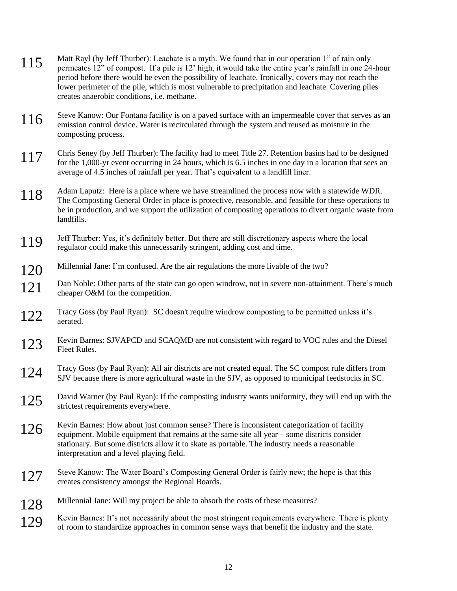- 115 Matt Rayl (by Jeff Thurber): Leachate is a myth. We found that in our operation 1" of rain only permeates 12" of compost. If a pile is 12' high, it would take the entire year's rainfall in one 24-hour period before there would be even the possibility of leachate. Ironically, covers may not reach the lower perimeter of the pile, which is most vulnerable to precipitation and leachate. Covering piles creates anaerobic conditions, i.e. methane.
- 116 Steve Kanow: Our Fontana facility is on a paved surface with an impermeable cover that serves as an emission control device. Water is recirculated through the system and reused as moisture in the composting process.
- 117 Chris Seney (by Jeff Thurber): The facility had to meet Title 27. Retention basins had to be designed for the 1,000-yr event occurring in 24 hours, which is 6.5 inches in one day in a location that sees an average of 4.5 inches of rainfall per year. That's equivalent to a landfill liner.
- 118 Adam Laputz: Here is a place where we have streamlined the process now with a statewide WDR. The Composting General Order in place is protective, reasonable, and feasible for these operations to be in production, and we support the utilization of composting operations to divert organic waste from landfills.
- 119 Jeff Thurber: Yes, it's definitely better. But there are still discretionary aspects where the local regulator could make this unnecessarily stringent, adding cost and time.
- 120 Millennial Jane: I'm confused. Are the air regulations the more livable of the two?
- 121 Dan Noble: Other parts of the state can go open windrow, not in severe non-attainment. There's much cheaper O&M for the competition.
- 122 Tracy Goss (by Paul Ryan): SC doesn't require windrow composting to be permitted unless it's aerated.
- 123 Kevin Barnes: SJVAPCD and SCAQMD are not consistent with regard to VOC rules and the Diesel Fleet Rules.
- 124 Tracy Goss (by Paul Ryan): All air districts are not created equal. The SC compost rule differs from SJV because there is more agricultural waste in the SJV, as opposed to municipal feedstocks in SC.
- 125 David Warner (by Paul Ryan): If the composting industry wants uniformity, they will end up with the strictest requirements everywhere.
- 126 Kevin Barnes: How about just common sense? There is inconsistent categorization of facility equipment. Mobile equipment that remains at the same site all year some districts consider stationary. But some districts allow it to skate as portable. The industry needs a reasonable interpretation and a level playing field.
- 127 Steve Kanow: The Water Board's Composting General Order is fairly new; the hope is that this creates consistency amongst the Regional Boards.
- 128 Millennial Jane: Will my project be able to absorb the costs of these measures?
- 129 Kevin Barnes: It's not necessarily about the most stringent requirements everywhere. There is plenty of room to standardize approaches in common sense ways that benefit the industry and the state.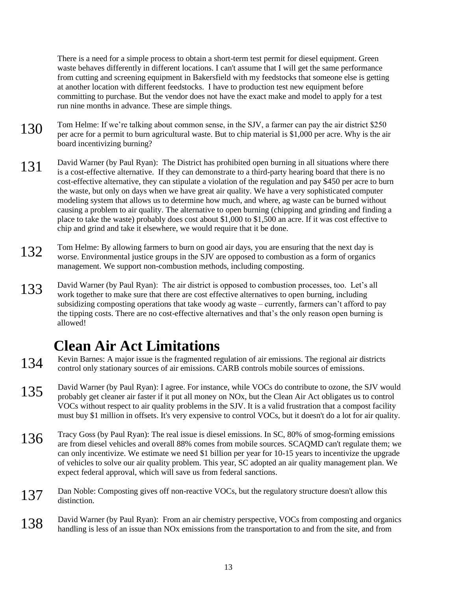There is a need for a simple process to obtain a short-term test permit for diesel equipment. Green waste behaves differently in different locations. I can't assume that I will get the same performance from cutting and screening equipment in Bakersfield with my feedstocks that someone else is getting at another location with different feedstocks. I have to production test new equipment before committing to purchase. But the vendor does not have the exact make and model to apply for a test run nine months in advance. These are simple things.

- 130 Tom Helme: If we're talking about common sense, in the SJV, a farmer can pay the air district \$250 per acre for a permit to burn agricultural waste. But to chip material is \$1,000 per acre. Why is the air board incentivizing burning?
- 131 David Warner (by Paul Ryan): The District has prohibited open burning in all situations where there is a cost-effective alternative. If they can demonstrate to a third-party hearing board that there is no cost-effective alternative, they can stipulate a violation of the regulation and pay \$450 per acre to burn the waste, but only on days when we have great air quality. We have a very sophisticated computer modeling system that allows us to determine how much, and where, ag waste can be burned without causing a problem to air quality. The alternative to open burning (chipping and grinding and finding a place to take the waste) probably does cost about \$1,000 to \$1,500 an acre. If it was cost effective to chip and grind and take it elsewhere, we would require that it be done.
- 132 Tom Helme: By allowing farmers to burn on good air days, you are ensuring that the next day is worse. Environmental justice groups in the SJV are opposed to combustion as a form of organics management. We support non-combustion methods, including composting.
- 133 David Warner (by Paul Ryan): The air district is opposed to combustion processes, too. Let's all work together to make sure that there are cost effective alternatives to open burning, including subsidizing composting operations that take woody ag waste – currently, farmers can't afford to pay the tipping costs. There are no cost-effective alternatives and that's the only reason open burning is allowed!

## **Clean Air Act Limitations**

- 134 Kevin Barnes: A major issue is the fragmented regulation of air emissions. The regional air districts control only established as a strict of the control only of the control on the control on the control on the control control only stationary sources of air emissions. CARB controls mobile sources of emissions.
- 135 David Warner (by Paul Ryan): I agree. For instance, while VOCs do contribute to ozone, the SJV would probably get cleaner air faster if it put all money on NOx, but the Clean Air Act obligates us to control VOCs without respect to air quality problems in the SJV. It is a valid frustration that a compost facility must buy \$1 million in offsets. It's very expensive to control VOCs, but it doesn't do a lot for air quality.
- 136 Tracy Goss (by Paul Ryan): The real issue is diesel emissions. In SC, 80% of smog-forming emissions 136<br>136 Tracy Goss (by Paul Ryan): The real issue is diesel emissions. In SC, 80% of smog-forming emissions are from diesel vehicles and overall 88% comes from mobile sources. SCAQMD can't regulate them; we can only incentivize. We estimate we need \$1 billion per year for 10-15 years to incentivize the upgrade of vehicles to solve our air quality problem. This year, SC adopted an air quality management plan. We expect federal approval, which will save us from federal sanctions.
- 137 Dan Noble: Composting gives off non-reactive VOCs, but the regulatory structure doesn't allow this distinction.
- 138 David Warner (by Paul Ryan): From an air chemistry perspective, VOCs from composting and organics handling is less of an issue than NOx emissions from the transportation to and from the site, and from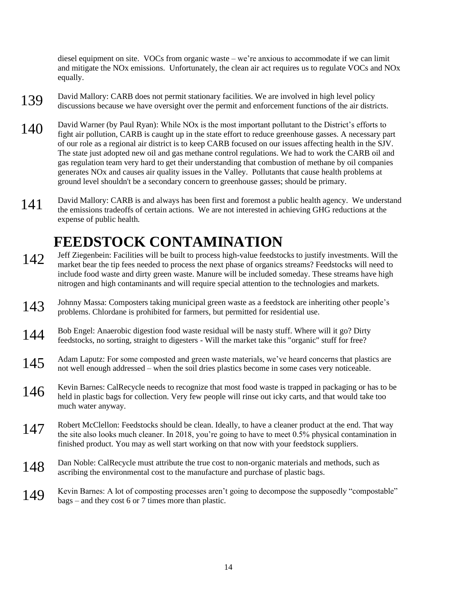diesel equipment on site. VOCs from organic waste – we're anxious to accommodate if we can limit and mitigate the NOx emissions. Unfortunately, the clean air act requires us to regulate VOCs and NOx equally.

- 139 David Mallory: CARB does not permit stationary facilities. We are involved in high level policy discussions because we have oversight over the permit and enforcement functions of the air districts.
- 140 David Warner (by Paul Ryan): While NOx is the most important pollutant to the District's efforts to fight air pollution, CARB is caught up in the state effort to reduce greenhouse gasses. A necessary part of our role as a regional air district is to keep CARB focused on our issues affecting health in the SJV. The state just adopted new oil and gas methane control regulations. We had to work the CARB oil and gas regulation team very hard to get their understanding that combustion of methane by oil companies generates NOx and causes air quality issues in the Valley. Pollutants that cause health problems at ground level shouldn't be a secondary concern to greenhouse gasses; should be primary.
- 141 David Mallory: CARB is and always has been first and foremost a public health agency. We understand the emissions tradeoffs of certain actions. We are not interested in achieving GHG reductions at the expense of public health.

## **FEEDSTOCK CONTAMINATION**

- 142 Jeff Ziegenbein: Facilities will be built to process high-value feedstocks to justify investments. Will the market bear the tip fees needed to process the next phase of organics streams? Feedstocks will need to include food waste and dirty green waste. Manure will be included someday. These streams have high nitrogen and high contaminants and will require special attention to the technologies and markets.
- 143 Johnny Massa: Composters taking municipal green waste as a feedstock are inheriting other people's problems. Chlordane is prohibited for farmers, but permitted for residential use.
- 144 Bob Engel: Anaerobic digestion food waste residual will be nasty stuff. Where will it go? Dirty feedstocks, no sorting, straight to digesters - Will the market take this "organic" stuff for free?
- 145 Adam Laputz: For some composted and green waste materials, we've heard concerns that plastics are not well enough addressed – when the soil dries plastics become in some cases very noticeable.
- 146 Kevin Barnes: CalRecycle needs to recognize that most food waste is trapped in packaging or has to be held in plastic bags for collection. Very few people will rinse out icky carts, and that would take too much water anyway.
- 147 Robert McClellon: Feedstocks should be clean. Ideally, to have a cleaner product at the end. That way the site also looks much cleaner. In 2018, you're going to have to meet 0.5% physical contamination in finished product. You may as well start working on that now with your feedstock suppliers.
- 148 Dan Noble: CalRecycle must attribute the true cost to non-organic materials and methods, such as ascribing the environmental cost to the manufacture and purchase of plastic bags.
- 149 Kevin Barnes: A lot of composting processes aren't going to decompose the supposedly "compostable" bags – and they cost 6 or 7 times more than plastic.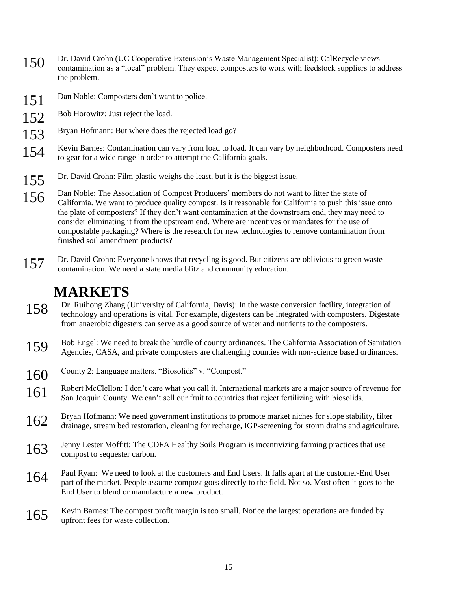- 150 Dr. David Crohn (UC Cooperative Extension's Waste Management Specialist): CalRecycle views contamination as a "local" problem. They expect composters to work with feedstock suppliers to address the problem.
- 151 Dan Noble: Composters don't want to police.
- 152 Bob Horowitz: Just reject the load.
- 153 Bryan Hofmann: But where does the rejected load go?
- 154 Kevin Barnes: Contamination can vary from load to load. It can vary by neighborhood. Composters need to gear for a wide range in order to attempt the California goals.
- 155 Dr. David Crohn: Film plastic weighs the least, but it is the biggest issue.
- 156 Dan Noble: The Association of Compost Producers' members do not want to litter the state of California. We want to produce quality compost. Is it reasonable for California to push this issue onto the plate of composters? If they don't want contamination at the downstream end, they may need to consider eliminating it from the upstream end. Where are incentives or mandates for the use of compostable packaging? Where is the research for new technologies to remove contamination from finished soil amendment products?
- 157 Dr. David Crohn: Everyone knows that recycling is good. But citizens are oblivious to green waste contamination. We need a state media blitz and community education.

## **MARKETS**

- 158 Dr. Ruihong Zhang (University of California, Davis): In the waste conversion facility, integration of technology and operations is vital. For example, digesters can be integrated with composters. Digestate from anaerobic digesters can serve as a good source of water and nutrients to the composters.
- 159 Bob Engel: We need to break the hurdle of county ordinances. The California Association of Sanitation Agencies, CASA, and private composters are challenging counties with non-science based ordinances.
- 160 County 2: Language matters. "Biosolids" v. "Compost."
- 161 Robert McClellon: I don't care what you call it. International markets are a major source of revenue for San Joaquin County. We can't sell our fruit to countries that reject fertilizing with biosolids.
- 162 Bryan Hofmann: We need government institutions to promote market niches for slope stability, filter drainage, stream bed restoration, cleaning for recharge, IGP-screening for storm drains and agriculture.
- 163 Jenny Lester Moffitt: The CDFA Healthy Soils Program is incentivizing farming practices that use compost to sequester carbon.
- 164 Paul Ryan: We need to look at the customers and End Users. It falls apart at the customer-End User part of the market. People assume compost goes directly to the field. Not so. Most often it goes to the End User to blend or manufacture a new product.
- 165 Kevin Barnes: The compost profit margin is too small. Notice the largest operations are funded by upfront fees for waste collection.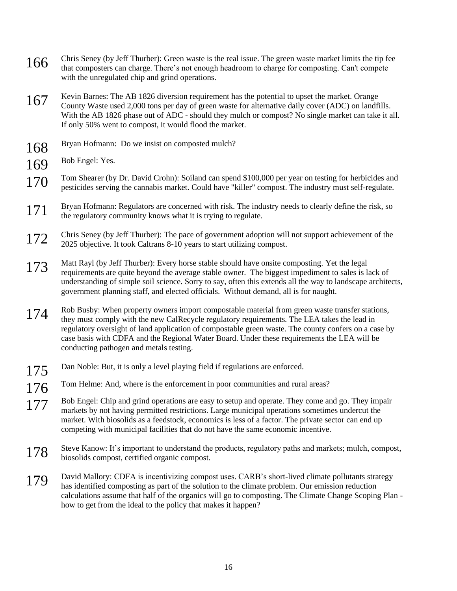- 166 Chris Seney (by Jeff Thurber): Green waste is the real issue. The green waste market limits the tip fee<br>that composters can charge. There's not enough headroom to charge for composting. Can't compete with the unregulated chip and grind operations.
- 167 Kevin Barnes: The AB 1826 diversion requirement has the potential to upset the market. Orange County Waste used 2,000 tons per day of green waste for alternative daily cover (ADC) on landfills. With the AB 1826 phase out of ADC - should they mulch or compost? No single market can take it all. If only 50% went to compost, it would flood the market.
- 168 Bryan Hofmann: Do we insist on composted mulch?
- 169 Bob Engel: Yes.
- 170 Tom Shearer (by Dr. David Crohn): Soiland can spend \$100,000 per year on testing for herbicides and<br>contribution of the contribution of the contract Could have "littler" compact. The industry must cell negulate pesticides serving the cannabis market. Could have "killer" compost. The industry must self-regulate.
- 171 Bryan Hofmann: Regulators are concerned with risk. The industry needs to clearly define the risk, so the regulatory community knows what it is trying to regulate.
- 172 Chris Seney (by Jeff Thurber): The pace of government adoption will not support achievement of the 2025 objective. It took Caltrans 8-10 years to start utilizing compost.
- 173 Matt Rayl (by Jeff Thurber): Every horse stable should have onsite composting. Yet the legal requirements are quite beyond the average stable owner. The biggest impediment to sales is lack of understanding of simple soil science. Sorry to say, often this extends all the way to landscape architects, government planning staff, and elected officials. Without demand, all is for naught.
- 174 Rob Busby: When property owners import compostable material from green waste transfer stations, they must comply with the new CalRecycle regulatory requirements. The LEA takes the lead in regulatory oversight of land application of compostable green waste. The county confers on a case by case basis with CDFA and the Regional Water Board. Under these requirements the LEA will be conducting pathogen and metals testing.
- 175 Dan Noble: But, it is only a level playing field if regulations are enforced.
- 176 Tom Helme: And, where is the enforcement in poor communities and rural areas?
- 177 Bob Engel: Chip and grind operations are easy to setup and operate. They come and go. They impair markets by not having permitted restrictions. Large municipal operations sometimes undercut the market. With biosolids as a feedstock, economics is less of a factor. The private sector can end up competing with municipal facilities that do not have the same economic incentive.
- 178 Steve Kanow: It's important to understand the products, regulatory paths and markets; mulch, compost, biosolids compost, certified organic compost.
- 179 David Mallory: CDFA is incentivizing compost uses. CARB's short-lived climate pollutants strategy has identified composting as part of the solution to the climate problem. Our emission reduction calculations assume that half of the organics will go to composting. The Climate Change Scoping Plan how to get from the ideal to the policy that makes it happen?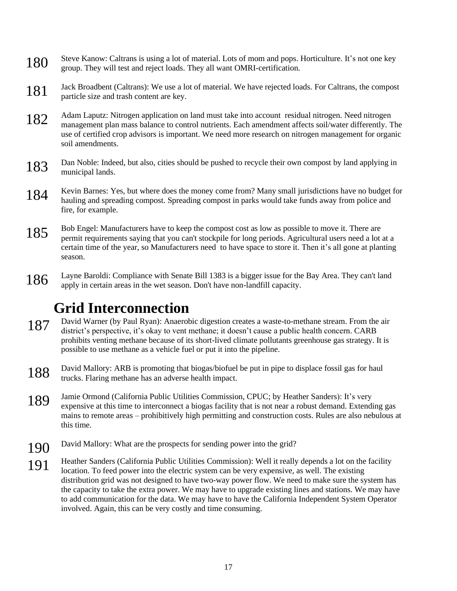- 180 Steve Kanow: Caltrans is using a lot of material. Lots of mom and pops. Horticulture. It's not one key group. They will test and reject loads. They all want OMRI-certification.
- 181 Jack Broadbent (Caltrans): We use a lot of material. We have rejected loads. For Caltrans, the compost particle size and trash content are key.
- 182 Adam Laputz: Nitrogen application on land must take into account residual nitrogen. Need nitrogen management plan mass balance to control nutrients. Each amendment affects soil/water differently. The use of certified crop advisors is important. We need more research on nitrogen management for organic soil amendments.
- 183 Dan Noble: Indeed, but also, cities should be pushed to recycle their own compost by land applying in municipal lands.
- 184 Kevin Barnes: Yes, but where does the money come from? Many small jurisdictions have no budget for hauling and spreading compost. Spreading compost in parks would take funds away from police and fire, for example.
- 185 Bob Engel: Manufacturers have to keep the compost cost as low as possible to move it. There are permit requirements saying that you can't stockpile for long periods. Agricultural users need a lot at a certain time of the year, so Manufacturers need to have space to store it. Then it's all gone at planting season.
- 186 Layne Baroldi: Compliance with Senate Bill 1383 is a bigger issue for the Bay Area. They can't land apply in certain areas in the wet season. Don't have non-landfill capacity.

## **Grid Interconnection**

- 187 David Warner (by Paul Ryan): Anaerobic digestion creates a waste-to-methane stream. From the air district's perspective, it's okay to vent methane; it doesn't cause a public health concern. CARB prohibits venting methane because of its short-lived climate pollutants greenhouse gas strategy. It is possible to use methane as a vehicle fuel or put it into the pipeline.
- 188 David Mallory: ARB is promoting that biogas/biofuel be put in pipe to displace fossil gas for haul trucks. Flaring methane has an adverse health impact.
- 189 Jamie Ormond (California Public Utilities Commission, CPUC; by Heather Sanders): It's very<br>comparison at this time to interconnect a biography faility that is not need a rebust demand. Extendi expensive at this time to interconnect a biogas facility that is not near a robust demand. Extending gas mains to remote areas – prohibitively high permitting and construction costs. Rules are also nebulous at this time.
- 190 David Mallory: What are the prospects for sending power into the grid?
- 191 Heather Sanders (California Public Utilities Commission): Well it really depends a lot on the facility levels in The public Utilities location. To feed power into the electric system can be very expensive, as well. The existing distribution grid was not designed to have two-way power flow. We need to make sure the system has the capacity to take the extra power. We may have to upgrade existing lines and stations. We may have to add communication for the data. We may have to have the California Independent System Operator involved. Again, this can be very costly and time consuming.